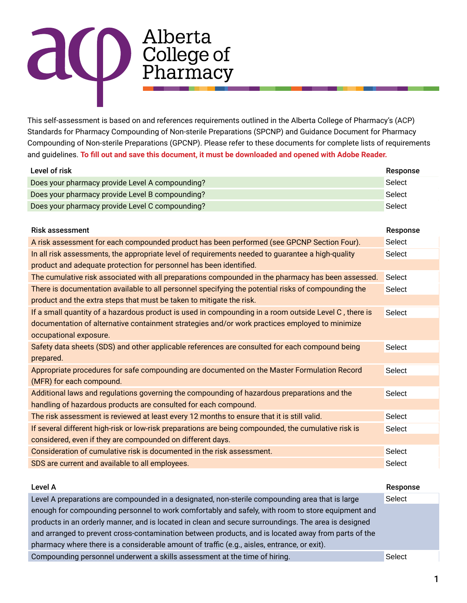## allerta<br>College of<br>Pharmacy

This self-assessment is based on and references requirements outlined in the Alberta College of Pharmacy's (ACP) Standards for Pharmacy Compounding of Non-sterile Preparations (SPCNP) and Guidance Document for Pharmacy Compounding of Non-sterile Preparations (GPCNP). Please refer to these documents for complete lists of requirements and guidelines. **To fill out and save this document, it must be downloaded and opened with Adobe Reader.**

| Level of risk                                                                                         | Response      |
|-------------------------------------------------------------------------------------------------------|---------------|
| Does your pharmacy provide Level A compounding?                                                       | Select        |
| Does your pharmacy provide Level B compounding?                                                       | <b>Select</b> |
| Does your pharmacy provide Level C compounding?                                                       | Select        |
|                                                                                                       |               |
| <b>Risk assessment</b>                                                                                | Response      |
| A risk assessment for each compounded product has been performed (see GPCNP Section Four).            | Select        |
| In all risk assessments, the appropriate level of requirements needed to guarantee a high-quality     | Select        |
| product and adequate protection for personnel has been identified.                                    |               |
| The cumulative risk associated with all preparations compounded in the pharmacy has been assessed.    | Select        |
| There is documentation available to all personnel specifying the potential risks of compounding the   | Select        |
| product and the extra steps that must be taken to mitigate the risk.                                  |               |
| If a small quantity of a hazardous product is used in compounding in a room outside Level C, there is | Select        |
| documentation of alternative containment strategies and/or work practices employed to minimize        |               |
| occupational exposure.                                                                                |               |
| Safety data sheets (SDS) and other applicable references are consulted for each compound being        | <b>Select</b> |
| prepared.                                                                                             |               |
| Appropriate procedures for safe compounding are documented on the Master Formulation Record           | <b>Select</b> |
| (MFR) for each compound.                                                                              |               |
| Additional laws and regulations governing the compounding of hazardous preparations and the           | Select        |
| handling of hazardous products are consulted for each compound.                                       |               |
| The risk assessment is reviewed at least every 12 months to ensure that it is still valid.            | <b>Select</b> |
| If several different high-risk or low-risk preparations are being compounded, the cumulative risk is  | Select        |
| considered, even if they are compounded on different days.                                            |               |
| Consideration of cumulative risk is documented in the risk assessment.                                | Select        |
| SDS are current and available to all employees.                                                       | <b>Select</b> |
|                                                                                                       |               |
| Level A                                                                                               | Response      |
| Level A preparations are compounded in a designated, non-sterile compounding area that is large       | <b>Select</b> |
| enough for compounding personnel to work comfortably and safely, with room to store equipment and     |               |

products in an orderly manner, and is located in clean and secure surroundings. The area is designed and arranged to prevent cross-contamination between products, and is located away from parts of the pharmacy where there is a considerable amount of traffic (e.g., aisles, entrance, or exit). Compounding personnel underwent a skills assessment at the time of hiring.

**Select**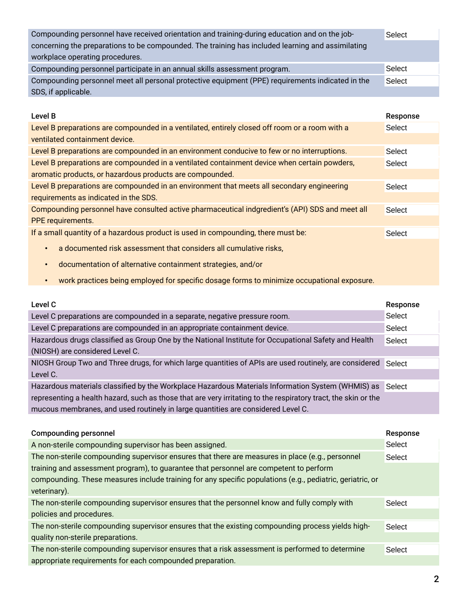| Compounding personnel have received orientation and training-during education and on the job-     | Select   |
|---------------------------------------------------------------------------------------------------|----------|
| concerning the preparations to be compounded. The training has included learning and assimilating |          |
| workplace operating procedures.                                                                   |          |
| Compounding personnel participate in an annual skills assessment program.                         | Select   |
| Compounding personnel meet all personal protective equipment (PPE) requirements indicated in the  | Select   |
| SDS, if applicable.                                                                               |          |
|                                                                                                   |          |
|                                                                                                   |          |
| Level B                                                                                           | Response |
| Level B preparations are compounded in a ventilated, entirely closed off room or a room with a    | Select   |
| ventilated containment device.                                                                    |          |
| Level B preparations are compounded in an environment conducive to few or no interruptions.       | Select   |
| Level B preparations are compounded in a ventilated containment device when certain powders,      | Select   |

Level B preparations are compounded in an environment that meets all secondary engineering requirements as indicated in the SDS. Select

Compounding personnel have consulted active pharmaceutical indgredient's (API) SDS and meet all PPE requirements. Select

If a small quantity of a hazardous product is used in compounding, there must be:

- a documented risk assessment that considers all cumulative risks,
- documentation of alternative containment strategies, and/or
- work practices being employed for specific dosage forms to minimize occupational exposure.

| Level C                                                                                                        | Response      |
|----------------------------------------------------------------------------------------------------------------|---------------|
| Level C preparations are compounded in a separate, negative pressure room.                                     | Select        |
| Level C preparations are compounded in an appropriate containment device.                                      | Select        |
| Hazardous drugs classified as Group One by the National Institute for Occupational Safety and Health           | Select        |
| (NIOSH) are considered Level C.                                                                                |               |
| NIOSH Group Two and Three drugs, for which large quantities of APIs are used routinely, are considered         | Select        |
| Level C.                                                                                                       |               |
| Hazardous materials classified by the Workplace Hazardous Materials Information System (WHMIS) as              | Select        |
| representing a health hazard, such as those that are very irritating to the respiratory tract, the skin or the |               |
| mucous membranes, and used routinely in large quantities are considered Level C.                               |               |
|                                                                                                                |               |
|                                                                                                                |               |
| <b>Compounding personnel</b>                                                                                   | Response      |
| A non-sterile compounding supervisor has been assigned.                                                        | Select        |
| The non-sterile compounding supervisor ensures that there are measures in place (e.g., personnel               | <b>Select</b> |
| training and assessment program), to guarantee that personnel are competent to perform                         |               |
| compounding. These measures include training for any specific populations (e.g., pediatric, geriatric, or      |               |
| veterinary).                                                                                                   |               |
| The non-sterile compounding supervisor ensures that the personnel know and fully comply with                   | Select        |
| policies and procedures.                                                                                       |               |
| The non-sterile compounding supervisor ensures that the existing compounding process yields high-              | Select        |
| quality non-sterile preparations.                                                                              |               |

appropriate requirements for each compounded preparation.

Select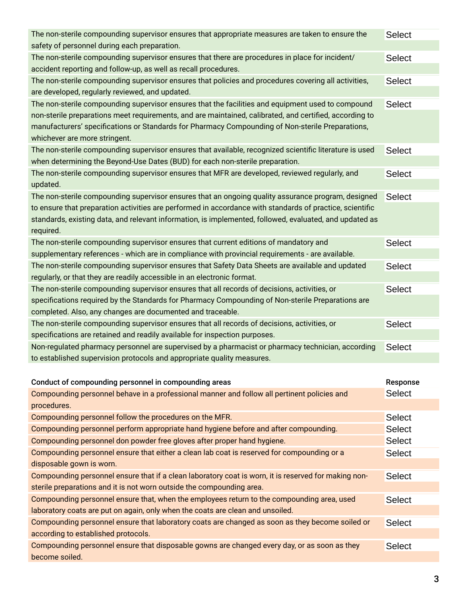| The non-sterile compounding supervisor ensures that appropriate measures are taken to ensure the<br>safety of personnel during each preparation.                                                                                             | <b>Select</b> |
|----------------------------------------------------------------------------------------------------------------------------------------------------------------------------------------------------------------------------------------------|---------------|
| The non-sterile compounding supervisor ensures that there are procedures in place for incident/                                                                                                                                              | <b>Select</b> |
| accident reporting and follow-up, as well as recall procedures.                                                                                                                                                                              |               |
| The non-sterile compounding supervisor ensures that policies and procedures covering all activities,<br>are developed, regularly reviewed, and updated.                                                                                      | <b>Select</b> |
| The non-sterile compounding supervisor ensures that the facilities and equipment used to compound                                                                                                                                            | <b>Select</b> |
| non-sterile preparations meet requirements, and are maintained, calibrated, and certified, according to<br>manufacturers' specifications or Standards for Pharmacy Compounding of Non-sterile Preparations,<br>whichever are more stringent. |               |
| The non-sterile compounding supervisor ensures that available, recognized scientific literature is used<br>when determining the Beyond-Use Dates (BUD) for each non-sterile preparation.                                                     | <b>Select</b> |
| The non-sterile compounding supervisor ensures that MFR are developed, reviewed regularly, and                                                                                                                                               | <b>Select</b> |
| updated.                                                                                                                                                                                                                                     |               |
| The non-sterile compounding supervisor ensures that an ongoing quality assurance program, designed                                                                                                                                           | <b>Select</b> |
| to ensure that preparation activities are performed in accordance with standards of practice, scientific                                                                                                                                     |               |
| standards, existing data, and relevant information, is implemented, followed, evaluated, and updated as<br>required.                                                                                                                         |               |
| The non-sterile compounding supervisor ensures that current editions of mandatory and                                                                                                                                                        | <b>Select</b> |
| supplementary references - which are in compliance with provincial requirements - are available.                                                                                                                                             |               |
| The non-sterile compounding supervisor ensures that Safety Data Sheets are available and updated                                                                                                                                             | <b>Select</b> |
| regularly, or that they are readily accessible in an electronic format.                                                                                                                                                                      |               |
| The non-sterile compounding supervisor ensures that all records of decisions, activities, or                                                                                                                                                 | <b>Select</b> |
| specifications required by the Standards for Pharmacy Compounding of Non-sterile Preparations are<br>completed. Also, any changes are documented and traceable.                                                                              |               |
| The non-sterile compounding supervisor ensures that all records of decisions, activities, or                                                                                                                                                 | <b>Select</b> |
| specifications are retained and readily available for inspection purposes.                                                                                                                                                                   |               |
| Non-regulated pharmacy personnel are supervised by a pharmacist or pharmacy technician, according                                                                                                                                            | <b>Select</b> |
| to established supervision protocols and appropriate quality measures.                                                                                                                                                                       |               |
|                                                                                                                                                                                                                                              |               |
| Conduct of compounding personnel in compounding areas                                                                                                                                                                                        | Response      |
| Compounding personnel behave in a professional manner and follow all pertinent policies and                                                                                                                                                  | <b>Select</b> |
| procedures.                                                                                                                                                                                                                                  |               |
| Compounding personnel follow the procedures on the MFR.                                                                                                                                                                                      | <b>Select</b> |
| Compounding personnel perform appropriate hand hygiene before and after compounding.                                                                                                                                                         | <b>Select</b> |
| Compounding personnel don powder free gloves after proper hand hygiene.                                                                                                                                                                      | <b>Select</b> |
| Compounding personnel ensure that either a clean lab coat is reserved for compounding or a                                                                                                                                                   | <b>Select</b> |
| disposable gown is worn.                                                                                                                                                                                                                     |               |
| Compounding personnel ensure that if a clean laboratory coat is worn, it is reserved for making non-                                                                                                                                         | <b>Select</b> |
| sterile preparations and it is not worn outside the compounding area.                                                                                                                                                                        |               |
| Compounding personnel ensure that, when the employees return to the compounding area, used                                                                                                                                                   | <b>Select</b> |
| laboratory coats are put on again, only when the coats are clean and unsoiled.                                                                                                                                                               |               |
| Compounding personnel ensure that laboratory coats are changed as soon as they become soiled or                                                                                                                                              | <b>Select</b> |
| according to established protocols.                                                                                                                                                                                                          |               |
|                                                                                                                                                                                                                                              |               |
| Compounding personnel ensure that disposable gowns are changed every day, or as soon as they                                                                                                                                                 | <b>Select</b> |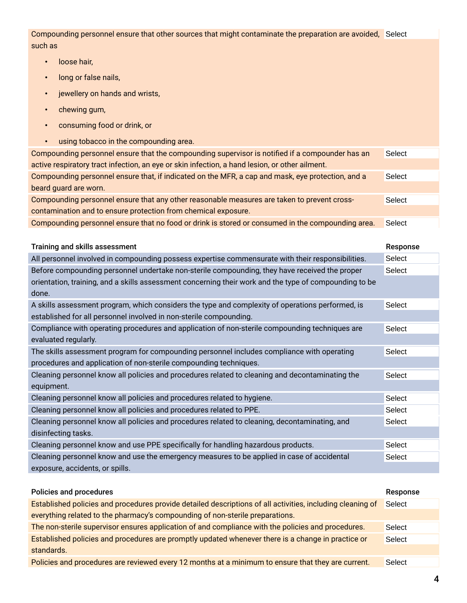Compounding personnel ensure that other sources that might contaminate the preparation are avoided, Select such as

- loose hair,
- long or false nails,
- jewellery on hands and wrists,
- chewing gum,
- consuming food or drink, or
- using tobacco in the compounding area.

| Compounding personnel ensure that the compounding supervisor is notified if a compounder has an<br>active respiratory tract infection, an eye or skin infection, a hand lesion, or other ailment. | Select        |
|---------------------------------------------------------------------------------------------------------------------------------------------------------------------------------------------------|---------------|
|                                                                                                                                                                                                   |               |
| Compounding personnel ensure that, if indicated on the MFR, a cap and mask, eye protection, and a                                                                                                 | Select        |
| beard guard are worn.                                                                                                                                                                             |               |
| Compounding personnel ensure that any other reasonable measures are taken to prevent cross-                                                                                                       | Select        |
| contamination and to ensure protection from chemical exposure.                                                                                                                                    |               |
| Compounding personnel ensure that no food or drink is stored or consumed in the compounding area.                                                                                                 | Select        |
|                                                                                                                                                                                                   |               |
| Training and skills assessment                                                                                                                                                                    | Response      |
| All personnel involved in compounding possess expertise commensurate with their responsibilities.                                                                                                 | Select        |
| Before compounding personnel undertake non-sterile compounding, they have received the proper                                                                                                     | Select        |
| orientation, training, and a skills assessment concerning their work and the type of compounding to be                                                                                            |               |
| done.                                                                                                                                                                                             |               |
| A skills assessment program, which considers the type and complexity of operations performed, is                                                                                                  | Select        |
| established for all personnel involved in non-sterile compounding.                                                                                                                                |               |
| Compliance with operating procedures and application of non-sterile compounding techniques are                                                                                                    | Select        |
| evaluated regularly.                                                                                                                                                                              |               |
| The skills assessment program for compounding personnel includes compliance with operating                                                                                                        | Select        |
| procedures and application of non-sterile compounding techniques.                                                                                                                                 |               |
| Cleaning personnel know all policies and procedures related to cleaning and decontaminating the                                                                                                   | Select        |
| equipment.                                                                                                                                                                                        |               |
| Cleaning personnel know all policies and procedures related to hygiene.                                                                                                                           | <b>Select</b> |
| Cleaning personnel know all policies and procedures related to PPE.                                                                                                                               | Select        |
| Cleaning personnel know all policies and procedures related to cleaning, decontaminating, and                                                                                                     | Select        |
| disinfecting tasks.                                                                                                                                                                               |               |
| Cleaning personnel know and use PPE specifically for handling hazardous products.                                                                                                                 | Select        |
| Cleaning personnel know and use the emergency measures to be applied in case of accidental                                                                                                        | Select        |
| exposure, accidents, or spills.                                                                                                                                                                   |               |
|                                                                                                                                                                                                   |               |

| Policies and procedures                                                                                    | Response      |
|------------------------------------------------------------------------------------------------------------|---------------|
| Established policies and procedures provide detailed descriptions of all activities, including cleaning of | <b>Select</b> |
| everything related to the pharmacy's compounding of non-sterile preparations.                              |               |
| The non-sterile supervisor ensures application of and compliance with the policies and procedures.         | Select        |
| Established policies and procedures are promptly updated whenever there is a change in practice or         | Select        |
| standards.                                                                                                 |               |
| Policies and procedures are reviewed every 12 months at a minimum to ensure that they are current.         | Select        |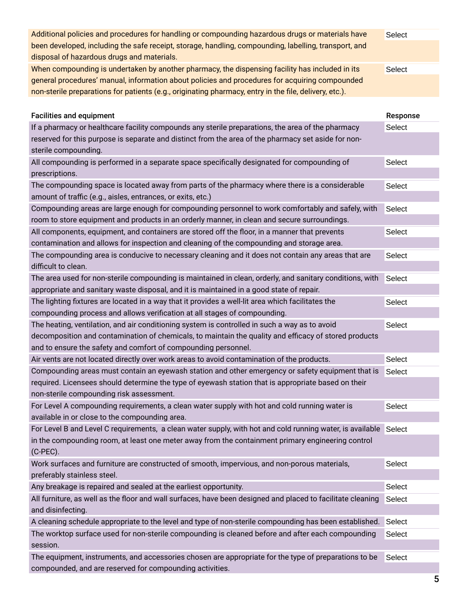| Additional policies and procedures for handling or compounding hazardous drugs or materials have            | Select   |
|-------------------------------------------------------------------------------------------------------------|----------|
| been developed, including the safe receipt, storage, handling, compounding, labelling, transport, and       |          |
| disposal of hazardous drugs and materials.                                                                  |          |
| When compounding is undertaken by another pharmacy, the dispensing facility has included in its             | Select   |
| general procedures' manual, information about policies and procedures for acquiring compounded              |          |
| non-sterile preparations for patients (e.g., originating pharmacy, entry in the file, delivery, etc.).      |          |
|                                                                                                             |          |
| <b>Facilities and equipment</b>                                                                             | Response |
| If a pharmacy or healthcare facility compounds any sterile preparations, the area of the pharmacy           | Select   |
| reserved for this purpose is separate and distinct from the area of the pharmacy set aside for non-         |          |
| sterile compounding.                                                                                        |          |
| All compounding is performed in a separate space specifically designated for compounding of                 | Select   |
| prescriptions.                                                                                              |          |
| The compounding space is located away from parts of the pharmacy where there is a considerable              | Select   |
| amount of traffic (e.g., aisles, entrances, or exits, etc.)                                                 |          |
| Compounding areas are large enough for compounding personnel to work comfortably and safely, with           | Select   |
| room to store equipment and products in an orderly manner, in clean and secure surroundings.                |          |
| All components, equipment, and containers are stored off the floor, in a manner that prevents               | Select   |
| contamination and allows for inspection and cleaning of the compounding and storage area.                   |          |
| The compounding area is conducive to necessary cleaning and it does not contain any areas that are          | Select   |
| difficult to clean.                                                                                         |          |
| The area used for non-sterile compounding is maintained in clean, orderly, and sanitary conditions, with    | Select   |
| appropriate and sanitary waste disposal, and it is maintained in a good state of repair.                    |          |
| The lighting fixtures are located in a way that it provides a well-lit area which facilitates the           | Select   |
| compounding process and allows verification at all stages of compounding.                                   |          |
| The heating, ventilation, and air conditioning system is controlled in such a way as to avoid               | Select   |
| decomposition and contamination of chemicals, to maintain the quality and efficacy of stored products       |          |
| and to ensure the safety and comfort of compounding personnel.                                              |          |
| Air vents are not located directly over work areas to avoid contamination of the products.                  | Select   |
| Compounding areas must contain an eyewash station and other emergency or safety equipment that is           | Select   |
| required. Licensees should determine the type of eyewash station that is appropriate based on their         |          |
| non-sterile compounding risk assessment.                                                                    |          |
| For Level A compounding requirements, a clean water supply with hot and cold running water is               | Select   |
| available in or close to the compounding area.                                                              |          |
| For Level B and Level C requirements, a clean water supply, with hot and cold running water, is available   | Select   |
| in the compounding room, at least one meter away from the containment primary engineering control           |          |
| $(C-PEC)$ .                                                                                                 |          |
| Work surfaces and furniture are constructed of smooth, impervious, and non-porous materials,                | Select   |
| preferably stainless steel.                                                                                 |          |
| Any breakage is repaired and sealed at the earliest opportunity.                                            | Select   |
| All furniture, as well as the floor and wall surfaces, have been designed and placed to facilitate cleaning | Select   |
| and disinfecting.                                                                                           |          |
| A cleaning schedule appropriate to the level and type of non-sterile compounding has been established.      | Select   |
| The worktop surface used for non-sterile compounding is cleaned before and after each compounding           | Select   |
| session.                                                                                                    |          |
| The equipment, instruments, and accessories chosen are appropriate for the type of preparations to be       | Select   |

compounded, and are reserved for compounding activities.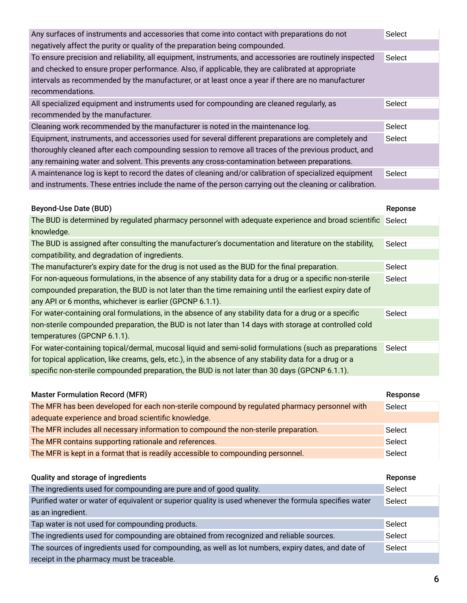| Any surfaces of instruments and accessories that come into contact with preparations do not              | Select  |
|----------------------------------------------------------------------------------------------------------|---------|
| negatively affect the purity or quality of the preparation being compounded.                             |         |
| To ensure precision and reliability, all equipment, instruments, and accessories are routinely inspected | Select  |
| and checked to ensure proper performance. Also, if applicable, they are calibrated at appropriate        |         |
| intervals as recommended by the manufacturer, or at least once a year if there are no manufacturer       |         |
| recommendations.                                                                                         |         |
| All specialized equipment and instruments used for compounding are cleaned regularly, as                 | Select  |
| recommended by the manufacturer.                                                                         |         |
| Cleaning work recommended by the manufacturer is noted in the maintenance log.                           | Select  |
| Equipment, instruments, and accessories used for several different preparations are completely and       | Select  |
| thoroughly cleaned after each compounding session to remove all traces of the previous product, and      |         |
| any remaining water and solvent. This prevents any cross-contamination between preparations.             |         |
| A maintenance log is kept to record the dates of cleaning and/or calibration of specialized equipment    | Select  |
| and instruments. These entries include the name of the person carrying out the cleaning or calibration.  |         |
|                                                                                                          |         |
| <b>Beyond-Use Date (BUD)</b>                                                                             | Reponse |

| The BUD is determined by regulated pharmacy personnel with adequate experience and broad scientific Select |               |
|------------------------------------------------------------------------------------------------------------|---------------|
| knowledge.                                                                                                 |               |
| The BUD is assigned after consulting the manufacturer's documentation and literature on the stability,     | Select        |
| compatibility, and degradation of ingredients.                                                             |               |
| The manufacturer's expiry date for the drug is not used as the BUD for the final preparation.              | Select        |
| For non-aqueous formulations, in the absence of any stability data for a drug or a specific non-sterile    | <b>Select</b> |
| compounded preparation, the BUD is not later than the time remaining until the earliest expiry date of     |               |
| any API or 6 months, whichever is earlier (GPCNP 6.1.1).                                                   |               |
| For water-containing oral formulations, in the absence of any stability data for a drug or a specific      | Select        |
| non-sterile compounded preparation, the BUD is not later than 14 days with storage at controlled cold      |               |
| temperatures (GPCNP 6.1.1).                                                                                |               |
| For water-containing topical/dermal, mucosal liquid and semi-solid formulations (such as preparations      | Select        |
| for topical application, like creams, gels, etc.), in the absence of any stability data for a drug or a    |               |
| specific non-sterile compounded preparation, the BUD is not later than 30 days (GPCNP 6.1.1).              |               |

| <b>Master Formulation Record (MFR)</b>                                                                 | Response |
|--------------------------------------------------------------------------------------------------------|----------|
| The MFR has been developed for each non-sterile compound by regulated pharmacy personnel with          | Select   |
| adequate experience and broad scientific knowledge.                                                    |          |
| The MFR includes all necessary information to compound the non-sterile preparation.                    | Select   |
| The MFR contains supporting rationale and references.                                                  | Select   |
| The MFR is kept in a format that is readily accessible to compounding personnel.                       | Select   |
|                                                                                                        |          |
| Quality and storage of ingredients                                                                     | Reponse  |
| The ingredients used for compounding are pure and of good quality.                                     | Select   |
| Purified water or water of equivalent or superior quality is used whenever the formula specifies water | Select   |
| as an ingredient.                                                                                      |          |
| Tap water is not used for compounding products.                                                        | Select   |
| The ingredients used for compounding are obtained from recognized and reliable sources.                | Select   |
| The sources of ingredients used for compounding, as well as lot numbers, expiry dates, and date of     | Select   |
| receipt in the pharmacy must be traceable.                                                             |          |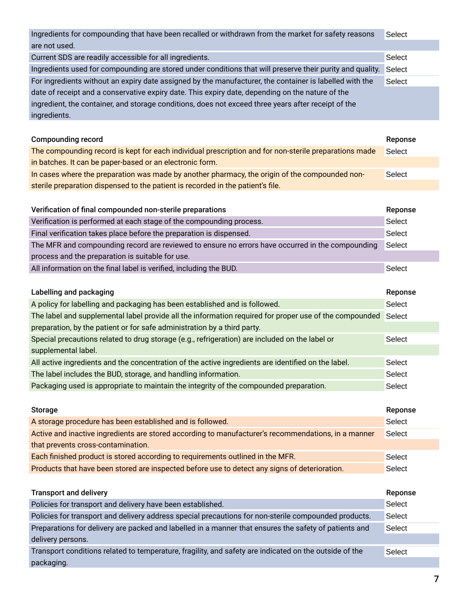Ingredients for compounding that have been recalled or withdrawn from the market for safety reasons are not used. Current SDS are readily accessible for all ingredients. Ingredients used for compounding are stored under conditions that will preserve their purity and quality. Select For ingredients without an expiry date assigned by the manufacturer, the container is labelled with the date of receipt and a conservative expiry date. This expiry date, depending on the nature of the ingredient, the container, and storage conditions, does not exceed three years after receipt of the ingredients. Select Select Select

| <b>Compounding record</b>                                                                             | Reponse |
|-------------------------------------------------------------------------------------------------------|---------|
| The compounding record is kept for each individual prescription and for non-sterile preparations made | Select  |
| in batches. It can be paper-based or an electronic form.                                              |         |
| In cases where the preparation was made by another pharmacy, the origin of the compounded non-        | Select  |
| sterile preparation dispensed to the patient is recorded in the patient's file.                       |         |
|                                                                                                       |         |

| Verification of final compounded non-sterile preparations                                        | Reponse |
|--------------------------------------------------------------------------------------------------|---------|
| Verification is performed at each stage of the compounding process.                              | Select  |
| Final verification takes place before the preparation is dispensed.                              | Select  |
| The MFR and compounding record are reviewed to ensure no errors have occurred in the compounding | Select  |
| process and the preparation is suitable for use.                                                 |         |
| All information on the final label is verified, including the BUD.                               | Select  |
|                                                                                                  |         |

| Labelling and packaging                                                                                | Reponse |
|--------------------------------------------------------------------------------------------------------|---------|
| A policy for labelling and packaging has been established and is followed.                             | Select  |
| The label and supplemental label provide all the information required for proper use of the compounded | Select  |
| preparation, by the patient or for safe administration by a third party.                               |         |
| Special precautions related to drug storage (e.g., refrigeration) are included on the label or         | Select  |
| supplemental label.                                                                                    |         |
| All active ingredients and the concentration of the active ingredients are identified on the label.    | Select  |
| The label includes the BUD, storage, and handling information.                                         | Select  |
| Packaging used is appropriate to maintain the integrity of the compounded preparation.                 | Select  |

| Storage                                                                                             | Reponse |
|-----------------------------------------------------------------------------------------------------|---------|
| A storage procedure has been established and is followed.                                           | Select  |
| Active and inactive ingredients are stored according to manufacturer's recommendations, in a manner | Select  |
| that prevents cross-contamination.                                                                  |         |
| Each finished product is stored according to requirements outlined in the MFR.                      | Select  |
| Products that have been stored are inspected before use to detect any signs of deterioration.       | Select  |

| <b>Transport and delivery</b>                                                                          | Reponse |
|--------------------------------------------------------------------------------------------------------|---------|
| Policies for transport and delivery have been established.                                             | Select  |
| Policies for transport and delivery address special precautions for non-sterile compounded products.   | Select  |
| Preparations for delivery are packed and labelled in a manner that ensures the safety of patients and  | Select  |
| delivery persons.                                                                                      |         |
| Transport conditions related to temperature, fragility, and safety are indicated on the outside of the | Select  |
| packaging.                                                                                             |         |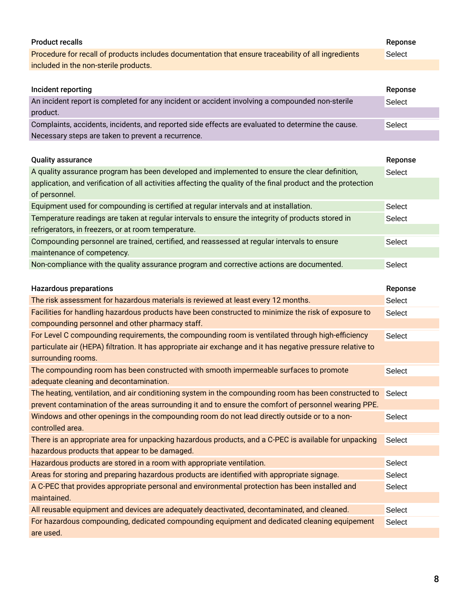| <b>Product recalls</b>                                                                                                            | Reponse       |
|-----------------------------------------------------------------------------------------------------------------------------------|---------------|
| Procedure for recall of products includes documentation that ensure traceability of all ingredients                               | <b>Select</b> |
| included in the non-sterile products.                                                                                             |               |
|                                                                                                                                   |               |
| Incident reporting                                                                                                                | Reponse       |
| An incident report is completed for any incident or accident involving a compounded non-sterile                                   | Select        |
| product.                                                                                                                          |               |
| Complaints, accidents, incidents, and reported side effects are evaluated to determine the cause.                                 | Select        |
| Necessary steps are taken to prevent a recurrence.                                                                                |               |
|                                                                                                                                   |               |
| <b>Quality assurance</b>                                                                                                          | Reponse       |
| A quality assurance program has been developed and implemented to ensure the clear definition,                                    | Select        |
| application, and verification of all activities affecting the quality of the final product and the protection                     |               |
| of personnel.                                                                                                                     |               |
| Equipment used for compounding is certified at regular intervals and at installation.                                             | Select        |
| Temperature readings are taken at regular intervals to ensure the integrity of products stored in                                 | Select        |
| refrigerators, in freezers, or at room temperature.                                                                               |               |
| Compounding personnel are trained, certified, and reassessed at regular intervals to ensure                                       | Select        |
| maintenance of competency.                                                                                                        |               |
| Non-compliance with the quality assurance program and corrective actions are documented.                                          | Select        |
|                                                                                                                                   |               |
|                                                                                                                                   |               |
|                                                                                                                                   |               |
| <b>Hazardous preparations</b>                                                                                                     | Reponse       |
| The risk assessment for hazardous materials is reviewed at least every 12 months.                                                 | Select        |
| Facilities for handling hazardous products have been constructed to minimize the risk of exposure to                              | <b>Select</b> |
| compounding personnel and other pharmacy staff.                                                                                   |               |
| For Level C compounding requirements, the compounding room is ventilated through high-efficiency                                  | Select        |
| particulate air (HEPA) filtration. It has appropriate air exchange and it has negative pressure relative to<br>surrounding rooms. |               |
| The compounding room has been constructed with smooth impermeable surfaces to promote                                             |               |
| adequate cleaning and decontamination.                                                                                            | Select        |
| The heating, ventilation, and air conditioning system in the compounding room has been constructed to                             | Select        |
| prevent contamination of the areas surrounding it and to ensure the comfort of personnel wearing PPE.                             |               |
| Windows and other openings in the compounding room do not lead directly outside or to a non-                                      | Select        |
| controlled area.                                                                                                                  |               |
| There is an appropriate area for unpacking hazardous products, and a C-PEC is available for unpacking                             | Select        |
| hazardous products that appear to be damaged.                                                                                     |               |
| Hazardous products are stored in a room with appropriate ventilation.                                                             | Select        |
| Areas for storing and preparing hazardous products are identified with appropriate signage.                                       | Select        |
| A C-PEC that provides appropriate personal and environmental protection has been installed and                                    | Select        |
| maintained.                                                                                                                       |               |
| All reusable equipment and devices are adequately deactivated, decontaminated, and cleaned.                                       | Select        |
| For hazardous compounding, dedicated compounding equipment and dedicated cleaning equipement                                      | Select        |